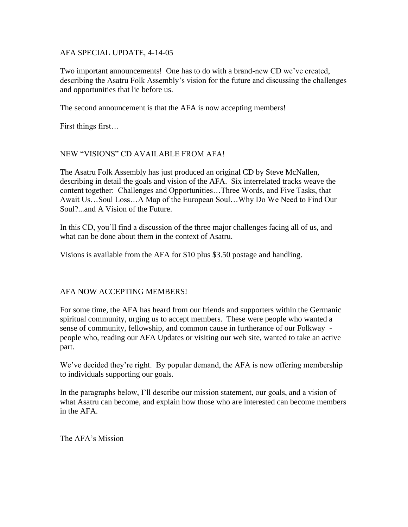### AFA SPECIAL UPDATE, 4-14-05

Two important announcements! One has to do with a brand-new CD we've created, describing the Asatru Folk Assembly's vision for the future and discussing the challenges and opportunities that lie before us.

The second announcement is that the AFA is now accepting members!

First things first…

# NEW "VISIONS" CD AVAILABLE FROM AFA!

The Asatru Folk Assembly has just produced an original CD by Steve McNallen, describing in detail the goals and vision of the AFA. Six interrelated tracks weave the content together: Challenges and Opportunities…Three Words, and Five Tasks, that Await Us…Soul Loss…A Map of the European Soul…Why Do We Need to Find Our Soul?...and A Vision of the Future.

In this CD, you'll find a discussion of the three major challenges facing all of us, and what can be done about them in the context of Asatru.

Visions is available from the AFA for \$10 plus \$3.50 postage and handling.

#### AFA NOW ACCEPTING MEMBERS!

For some time, the AFA has heard from our friends and supporters within the Germanic spiritual community, urging us to accept members. These were people who wanted a sense of community, fellowship, and common cause in furtherance of our Folkway people who, reading our AFA Updates or visiting our web site, wanted to take an active part.

We've decided they're right. By popular demand, the AFA is now offering membership to individuals supporting our goals.

In the paragraphs below, I'll describe our mission statement, our goals, and a vision of what Asatru can become, and explain how those who are interested can become members in the AFA.

The AFA's Mission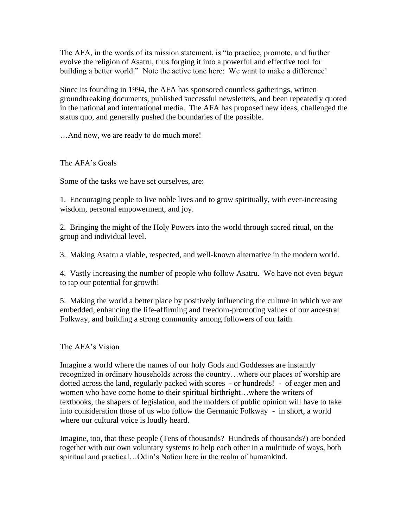The AFA, in the words of its mission statement, is "to practice, promote, and further evolve the religion of Asatru, thus forging it into a powerful and effective tool for building a better world." Note the active tone here: We want to make a difference!

Since its founding in 1994, the AFA has sponsored countless gatherings, written groundbreaking documents, published successful newsletters, and been repeatedly quoted in the national and international media. The AFA has proposed new ideas, challenged the status quo, and generally pushed the boundaries of the possible.

…And now, we are ready to do much more!

The AFA's Goals

Some of the tasks we have set ourselves, are:

1. Encouraging people to live noble lives and to grow spiritually, with ever-increasing wisdom, personal empowerment, and joy.

2. Bringing the might of the Holy Powers into the world through sacred ritual, on the group and individual level.

3. Making Asatru a viable, respected, and well-known alternative in the modern world.

4. Vastly increasing the number of people who follow Asatru. We have not even *begun* to tap our potential for growth!

5. Making the world a better place by positively influencing the culture in which we are embedded, enhancing the life-affirming and freedom-promoting values of our ancestral Folkway, and building a strong community among followers of our faith.

The AFA's Vision

Imagine a world where the names of our holy Gods and Goddesses are instantly recognized in ordinary households across the country…where our places of worship are dotted across the land, regularly packed with scores - or hundreds! - of eager men and women who have come home to their spiritual birthright…where the writers of textbooks, the shapers of legislation, and the molders of public opinion will have to take into consideration those of us who follow the Germanic Folkway - in short, a world where our cultural voice is loudly heard.

Imagine, too, that these people (Tens of thousands? Hundreds of thousands?) are bonded together with our own voluntary systems to help each other in a multitude of ways, both spiritual and practical…Odin's Nation here in the realm of humankind.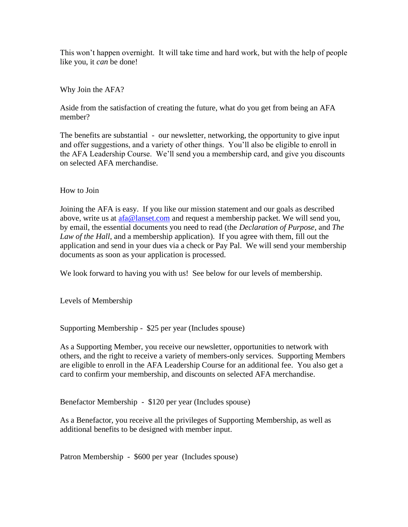This won't happen overnight. It will take time and hard work, but with the help of people like you, it *can* be done!

## Why Join the AFA?

Aside from the satisfaction of creating the future, what do you get from being an AFA member?

The benefits are substantial - our newsletter, networking, the opportunity to give input and offer suggestions, and a variety of other things. You'll also be eligible to enroll in the AFA Leadership Course. We'll send you a membership card, and give you discounts on selected AFA merchandise.

#### How to Join

Joining the AFA is easy. If you like our mission statement and our goals as described above, write us at [afa@lanset.com](mailto:afa@lanset.com) and request a membership packet. We will send you, by email, the essential documents you need to read (the *Declaration of Purpose*, and *The Law of the Hall*, and a membership application). If you agree with them, fill out the application and send in your dues via a check or Pay Pal. We will send your membership documents as soon as your application is processed.

We look forward to having you with us! See below for our levels of membership.

Levels of Membership

Supporting Membership - \$25 per year (Includes spouse)

As a Supporting Member, you receive our newsletter, opportunities to network with others, and the right to receive a variety of members-only services. Supporting Members are eligible to enroll in the AFA Leadership Course for an additional fee. You also get a card to confirm your membership, and discounts on selected AFA merchandise.

Benefactor Membership - \$120 per year (Includes spouse)

As a Benefactor, you receive all the privileges of Supporting Membership, as well as additional benefits to be designed with member input.

Patron Membership - \$600 per year (Includes spouse)